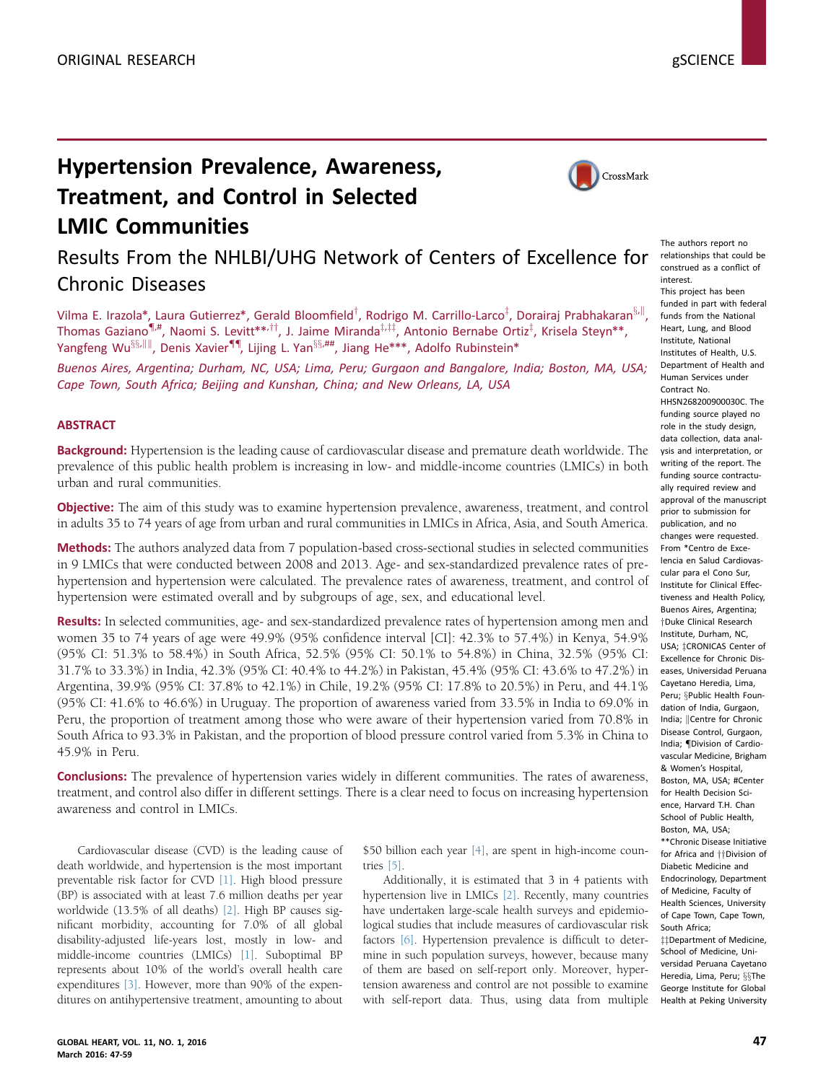# Hypertension Prevalence, Awareness, Treatment, and Control in Selected LMIC Communities



# Results From the NHLBI/UHG Network of Centers of Excellence for Chronic Diseases

Vilma E. Irazola\*, Laura Gutierrez\*, Gerald Bloomfield<sup>†</sup>, Rodrigo M. Carrillo-Larco<sup>‡</sup>, Dorairaj Prabhakaran<sup>§,||</sup>, Thomas Gaziano $\P^{\#}$ , Naomi S. Levitt $^{*,\dagger\dagger}$ , J. Jaime Miranda $^{ \ddagger,\ddagger\ddagger}\!$ , Antonio Bernabe Ortiz $^{ \ddagger}$ , Krisela Steyn $^{**}$ , Yangfeng Wu<sup>§§,|||</sup>, Denis Xavier<sup>¶¶</sup>, Lijing L. Yan<sup>§§,##</sup>, Jiang He\*\*\*, Adolfo Rubinstein\*

Buenos Aires, Argentina; Durham, NC, USA; Lima, Peru; Gurgaon and Bangalore, India; Boston, MA, USA; Cape Town, South Africa; Beijing and Kunshan, China; and New Orleans, LA, USA

# **ABSTRACT**

Background: Hypertension is the leading cause of cardiovascular disease and premature death worldwide. The prevalence of this public health problem is increasing in low- and middle-income countries (LMICs) in both urban and rural communities.

Objective: The aim of this study was to examine hypertension prevalence, awareness, treatment, and control in adults 35 to 74 years of age from urban and rural communities in LMICs in Africa, Asia, and South America.

Methods: The authors analyzed data from 7 population-based cross-sectional studies in selected communities in 9 LMICs that were conducted between 2008 and 2013. Age- and sex-standardized prevalence rates of prehypertension and hypertension were calculated. The prevalence rates of awareness, treatment, and control of hypertension were estimated overall and by subgroups of age, sex, and educational level.

Results: In selected communities, age- and sex-standardized prevalence rates of hypertension among men and women 35 to 74 years of age were 49.9% (95% confidence interval [CI]: 42.3% to 57.4%) in Kenya, 54.9% (95% CI: 51.3% to 58.4%) in South Africa, 52.5% (95% CI: 50.1% to 54.8%) in China, 32.5% (95% CI: 31.7% to 33.3%) in India, 42.3% (95% CI: 40.4% to 44.2%) in Pakistan, 45.4% (95% CI: 43.6% to 47.2%) in Argentina, 39.9% (95% CI: 37.8% to 42.1%) in Chile, 19.2% (95% CI: 17.8% to 20.5%) in Peru, and 44.1% (95% CI: 41.6% to 46.6%) in Uruguay. The proportion of awareness varied from 33.5% in India to 69.0% in Peru, the proportion of treatment among those who were aware of their hypertension varied from 70.8% in South Africa to 93.3% in Pakistan, and the proportion of blood pressure control varied from 5.3% in China to 45.9% in Peru.

**Conclusions:** The prevalence of hypertension varies widely in different communities. The rates of awareness, treatment, and control also differ in different settings. There is a clear need to focus on increasing hypertension awareness and control in LMICs.

Cardiovascular disease (CVD) is the leading cause of death worldwide, and hypertension is the most important preventable risk factor for CVD [\[1\].](#page-12-0) High blood pressure (BP) is associated with at least 7.6 million deaths per year worldwide (13.5% of all deaths) [\[2\].](#page-12-0) High BP causes significant morbidity, accounting for 7.0% of all global disability-adjusted life-years lost, mostly in low- and middle-income countries (LMICs) [\[1\]](#page-12-0). Suboptimal BP represents about 10% of the world's overall health care expenditures [\[3\].](#page-12-0) However, more than 90% of the expenditures on antihypertensive treatment, amounting to about \$50 billion each year [\[4\],](#page-12-0) are spent in high-income countries [\[5\]](#page-12-0).

Additionally, it is estimated that 3 in 4 patients with hypertension live in LMICs [\[2\].](#page-12-0) Recently, many countries have undertaken large-scale health surveys and epidemiological studies that include measures of cardiovascular risk factors [\[6\].](#page-12-0) Hypertension prevalence is difficult to determine in such population surveys, however, because many of them are based on self-report only. Moreover, hypertension awareness and control are not possible to examine with self-report data. Thus, using data from multiple

The authors report no relationships that could be construed as a conflict of interest.

This project has been funded in part with federal funds from the National Heart, Lung, and Blood Institute, National Institutes of Health, U.S. Department of Health and Human Services under Contract No. HHSN268200900030C. The funding source played no role in the study design, data collection, data analysis and interpretation, or writing of the report. The funding source contractually required review and approval of the manuscript prior to submission for publication, and no changes were requested. From \*Centro de Excelencia en Salud Cardiovascular para el Cono Sur, Institute for Clinical Effectiveness and Health Policy, Buenos Aires, Argentina; [y](#page-12-0)Duke Clinical Research Institute, Durham, NC, USA: İCRONICAS Center of Excellence for Chronic Diseases, Universidad Peruana Cayetano Heredia, Lima, Peru; §Public Health Foundation of India, Gurgaon, India: Centre for Chronic Disease Control, Gurgaon, India; *IDivision* of Cardiovascular Medicine, Brigham & Women's Hospital, Boston, MA, USA: #Center for Health Decision Science, Harvard T.H. Chan School of Public Health, Boston, MA, USA; \*\*Chronic Disease Initiative for Africa and  $\dagger\dagger$ Division of Diabetic Medicine and Endocrinology, Department of Medicine, Faculty of Health Sciences, University of Cape Town, Cape Town, South Africa; ttDepartment of Medicine.

School of Medicine, Universidad Peruana Cayetano Heredia, Lima, Peru; §§The George Institute for Global Health at Peking University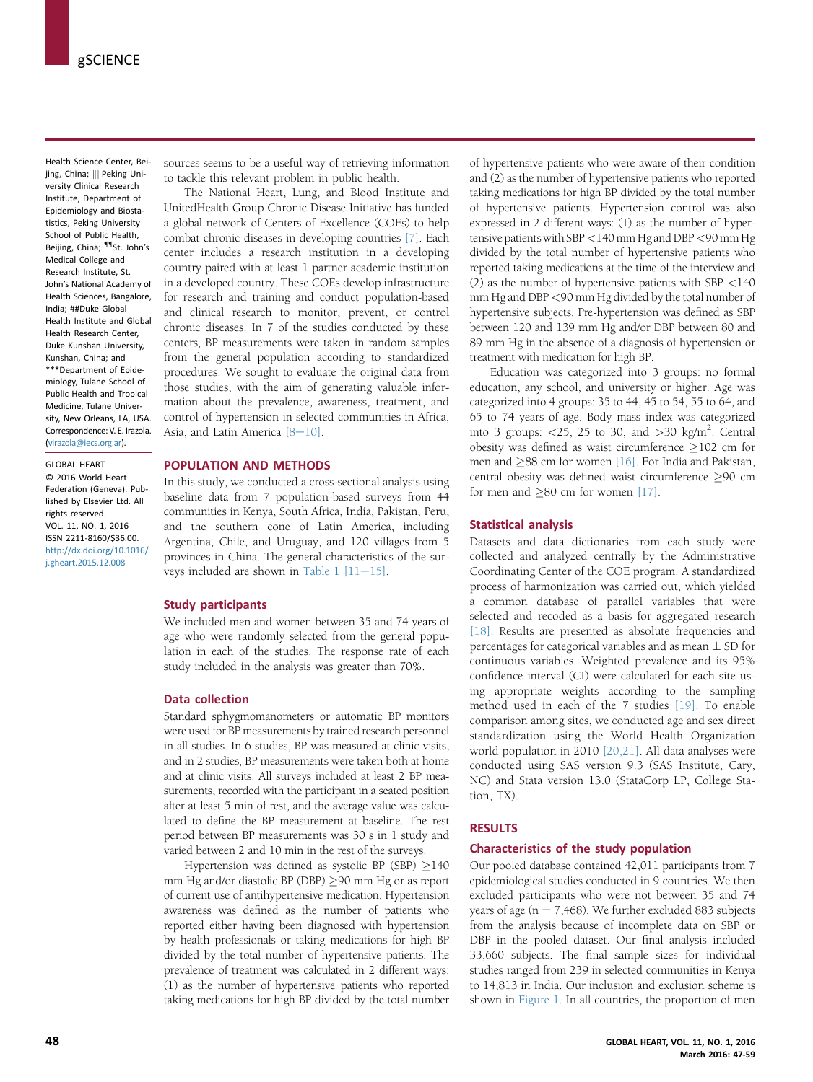Health Science Center, Beijing, China; ||||Peking University Clinical Research Institute, Department of Epidemiology and Biostatistics, Peking University School of Public Health, Beijing, China; <sup>11</sup>St. John's Medical College and Research Institute, St. John's National Academy of Health Sciences, Bangalore, India; ##Duke Global Health Institute and Global Health Research Center, Duke Kunshan University, Kunshan, China; and \*\*\*Department of Epidemiology, Tulane School of Public Health and Tropical Medicine, Tulane University, New Orleans, LA, USA. Correspondence: V. E. Irazola. [\(virazola@iecs.org.ar\)](mailto:virazola@iecs.org.ar).

GLOBAL HEART © 2016 World Heart Federation (Geneva). Published by Elsevier Ltd. All rights reserved. VOL. 11, NO. 1, 2016 ISSN 2211-8160/\$36.00. [http://dx.doi.org/10.1016/](http://dx.doi.org/10.1016/j.gheart.2015.12.008) [j.gheart.2015.12.008](http://dx.doi.org/10.1016/j.gheart.2015.12.008)

sources seems to be a useful way of retrieving information to tackle this relevant problem in public health.

The National Heart, Lung, and Blood Institute and UnitedHealth Group Chronic Disease Initiative has funded a global network of Centers of Excellence (COEs) to help combat chronic diseases in developing countries [\[7\]](#page-12-0). Each center includes a research institution in a developing country paired with at least 1 partner academic institution in a developed country. These COEs develop infrastructure for research and training and conduct population-based and clinical research to monitor, prevent, or control chronic diseases. In 7 of the studies conducted by these centers, BP measurements were taken in random samples from the general population according to standardized procedures. We sought to evaluate the original data from those studies, with the aim of generating valuable information about the prevalence, awareness, treatment, and control of hypertension in selected communities in Africa, Asia, and Latin America  $[8-10]$  $[8-10]$  $[8-10]$ .

# POPULATION AND METHODS

In this study, we conducted a cross-sectional analysis using baseline data from 7 population-based surveys from 44 communities in Kenya, South Africa, India, Pakistan, Peru, and the southern cone of Latin America, including Argentina, Chile, and Uruguay, and 120 villages from 5 provinces in China. The general characteristics of the sur-veys included are shown in [Table 1](#page-2-0)  $[11-15]$ .

## Study participants

We included men and women between 35 and 74 years of age who were randomly selected from the general population in each of the studies. The response rate of each study included in the analysis was greater than 70%.

# Data collection

Standard sphygmomanometers or automatic BP monitors were used for BP measurements by trained research personnel in all studies. In 6 studies, BP was measured at clinic visits, and in 2 studies, BP measurements were taken both at home and at clinic visits. All surveys included at least 2 BP measurements, recorded with the participant in a seated position after at least 5 min of rest, and the average value was calculated to define the BP measurement at baseline. The rest period between BP measurements was 30 s in 1 study and varied between 2 and 10 min in the rest of the surveys.

Hypertension was defined as systolic BP (SBP)  $\geq$ 140 mm Hg and/or diastolic BP (DBP)  $\geq$ 90 mm Hg or as report of current use of antihypertensive medication. Hypertension awareness was defined as the number of patients who reported either having been diagnosed with hypertension by health professionals or taking medications for high BP divided by the total number of hypertensive patients. The prevalence of treatment was calculated in 2 different ways: (1) as the number of hypertensive patients who reported taking medications for high BP divided by the total number of hypertensive patients who were aware of their condition and (2) as the number of hypertensive patients who reported taking medications for high BP divided by the total number of hypertensive patients. Hypertension control was also expressed in 2 different ways: (1) as the number of hypertensive patients with SBP <140 mm Hg and DBP<90 mm Hg divided by the total number of hypertensive patients who reported taking medications at the time of the interview and (2) as the number of hypertensive patients with SBP <140 mm Hg and DBP <90 mm Hg divided by the total number of hypertensive subjects. Pre-hypertension was defined as SBP between 120 and 139 mm Hg and/or DBP between 80 and 89 mm Hg in the absence of a diagnosis of hypertension or treatment with medication for high BP.

Education was categorized into 3 groups: no formal education, any school, and university or higher. Age was categorized into 4 groups: 35 to 44, 45 to 54, 55 to 64, and 65 to 74 years of age. Body mass index was categorized into 3 groups:  $\langle 25, 25 \rangle$  to 30, and  $>$ 30 kg/m<sup>2</sup>. Central obesity was defined as waist circumference  $\geq$ 102 cm for men and  $\geq$ 88 cm for women [\[16\].](#page-12-0) For India and Pakistan, central obesity was defined waist circumference  $\geq 90$  cm for men and  $\geq 80$  cm for women [\[17\].](#page-12-0)

## Statistical analysis

Datasets and data dictionaries from each study were collected and analyzed centrally by the Administrative Coordinating Center of the COE program. A standardized process of harmonization was carried out, which yielded a common database of parallel variables that were selected and recoded as a basis for aggregated research [\[18\]](#page-12-0). Results are presented as absolute frequencies and percentages for categorical variables and as mean  $\pm$  SD for continuous variables. Weighted prevalence and its 95% confidence interval (CI) were calculated for each site using appropriate weights according to the sampling method used in each of the 7 studies [\[19\].](#page-12-0) To enable comparison among sites, we conducted age and sex direct standardization using the World Health Organization world population in 2010 [\[20,21\].](#page-12-0) All data analyses were conducted using SAS version 9.3 (SAS Institute, Cary, NC) and Stata version 13.0 (StataCorp LP, College Station, TX).

## RESULTS

## Characteristics of the study population

Our pooled database contained 42,011 participants from 7 epidemiological studies conducted in 9 countries. We then excluded participants who were not between 35 and 74 years of age ( $n = 7,468$ ). We further excluded 883 subjects from the analysis because of incomplete data on SBP or DBP in the pooled dataset. Our final analysis included 33,660 subjects. The final sample sizes for individual studies ranged from 239 in selected communities in Kenya to 14,813 in India. Our inclusion and exclusion scheme is shown in [Figure 1.](#page-3-0) In all countries, the proportion of men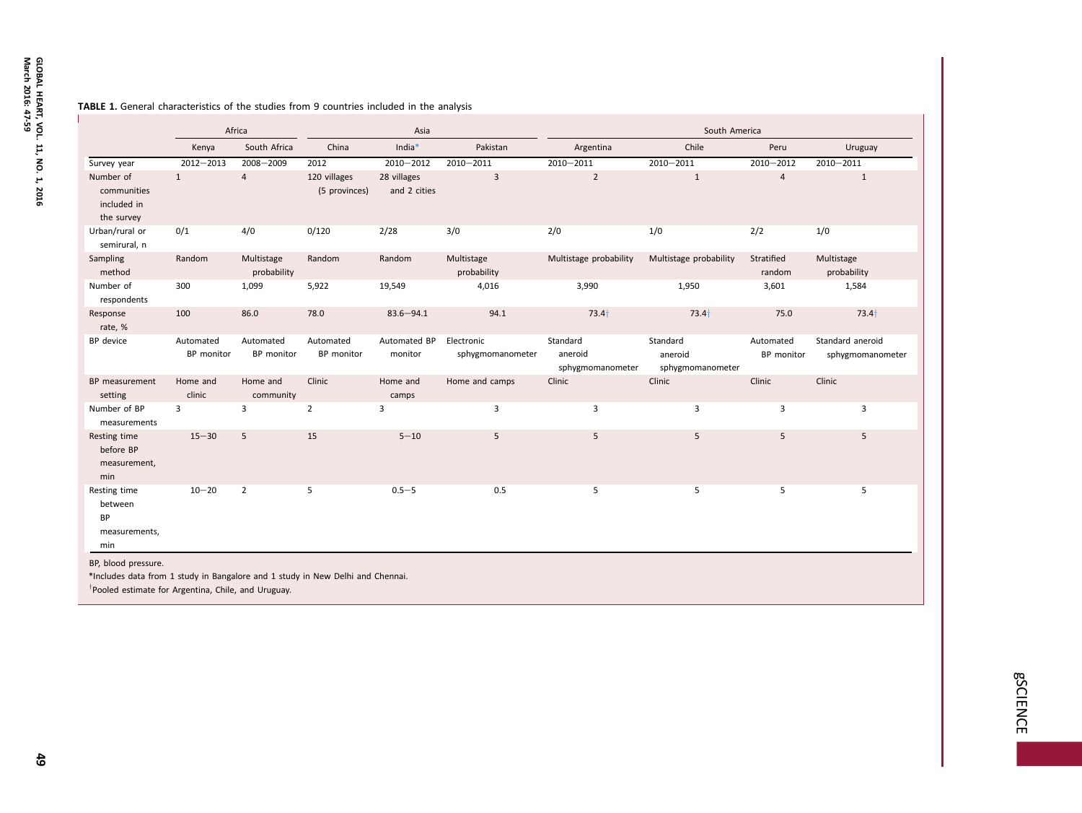### <span id="page-2-0"></span>**TABLE 1.** General characteristics of the studies from 9 countries included in the analysis

|                                                              |                         | Africa                    |                                | Asia                        |                                |                                         | South America                           |                         |                                      |
|--------------------------------------------------------------|-------------------------|---------------------------|--------------------------------|-----------------------------|--------------------------------|-----------------------------------------|-----------------------------------------|-------------------------|--------------------------------------|
|                                                              | Kenya                   | South Africa              | China                          | India*                      | Pakistan                       | Argentina                               | Chile                                   | Peru                    | Uruguay                              |
| Survey year                                                  | $2012 - 2013$           | 2008-2009                 | 2012                           | 2010-2012                   | $2010 - 2011$                  | $2010 - 2011$                           | $2010 - 2011$                           | 2010-2012               | $2010 - 2011$                        |
| Number of<br>communities<br>included in<br>the survey        | $\mathbf{1}$            | $\overline{4}$            | 120 villages<br>(5 provinces)  | 28 villages<br>and 2 cities | 3                              | $\overline{2}$                          | $\mathbf{1}$                            | $\sqrt{4}$              | $\mathbf{1}$                         |
| Urban/rural or<br>semirural, n                               | 0/1                     | 4/0                       | 0/120                          | 2/28                        | 3/0                            | 2/0                                     | 1/0                                     | 2/2                     | 1/0                                  |
| Sampling<br>method                                           | Random                  | Multistage<br>probability | Random                         | Random                      | Multistage<br>probability      | Multistage probability                  | Multistage probability                  | Stratified<br>random    | Multistage<br>probability            |
| Number of<br>respondents                                     | 300                     | 1,099                     | 5,922                          | 19,549                      | 4,016                          | 3,990                                   | 1,950                                   | 3,601                   | 1,584                                |
| Response<br>rate, %                                          | 100                     | 86.0                      | 78.0                           | $83.6 - 94.1$               | 94.1                           | $73.4+$                                 | $73.4+$                                 | 75.0                    | $73.4+$                              |
| BP device                                                    | Automated<br>BP monitor | Automated<br>BP monitor   | Automated<br><b>BP</b> monitor | Automated BP<br>monitor     | Electronic<br>sphygmomanometer | Standard<br>aneroid<br>sphygmomanometer | Standard<br>aneroid<br>sphygmomanometer | Automated<br>BP monitor | Standard aneroid<br>sphygmomanometer |
| BP measurement<br>setting                                    | Home and<br>clinic      | Home and<br>community     | Clinic                         | Home and<br>camps           | Home and camps                 | Clinic                                  | Clinic                                  | Clinic                  | Clinic                               |
| Number of BP<br>measurements                                 | 3                       | 3                         | $\overline{2}$                 | 3                           | $\overline{3}$                 | 3                                       | 3                                       | 3                       | 3                                    |
| Resting time<br>before BP<br>measurement,<br>min             | $15 - 30$               | 5                         | 15                             | $5 - 10$                    | 5                              | 5                                       | 5                                       | 5                       | 5                                    |
| Resting time<br>between<br><b>BP</b><br>measurements,<br>min | $10 - 20$               | $\overline{2}$            | 5                              | $0.5 - 5$                   | 0.5                            | 5                                       | 5                                       | 5                       | 5                                    |

\*Includes data from 1 study in Bangalore and 1 study in New Delhi and Chennai.

 $\dagger$ Pooled estimate for Argentina, Chile, and Uruguay.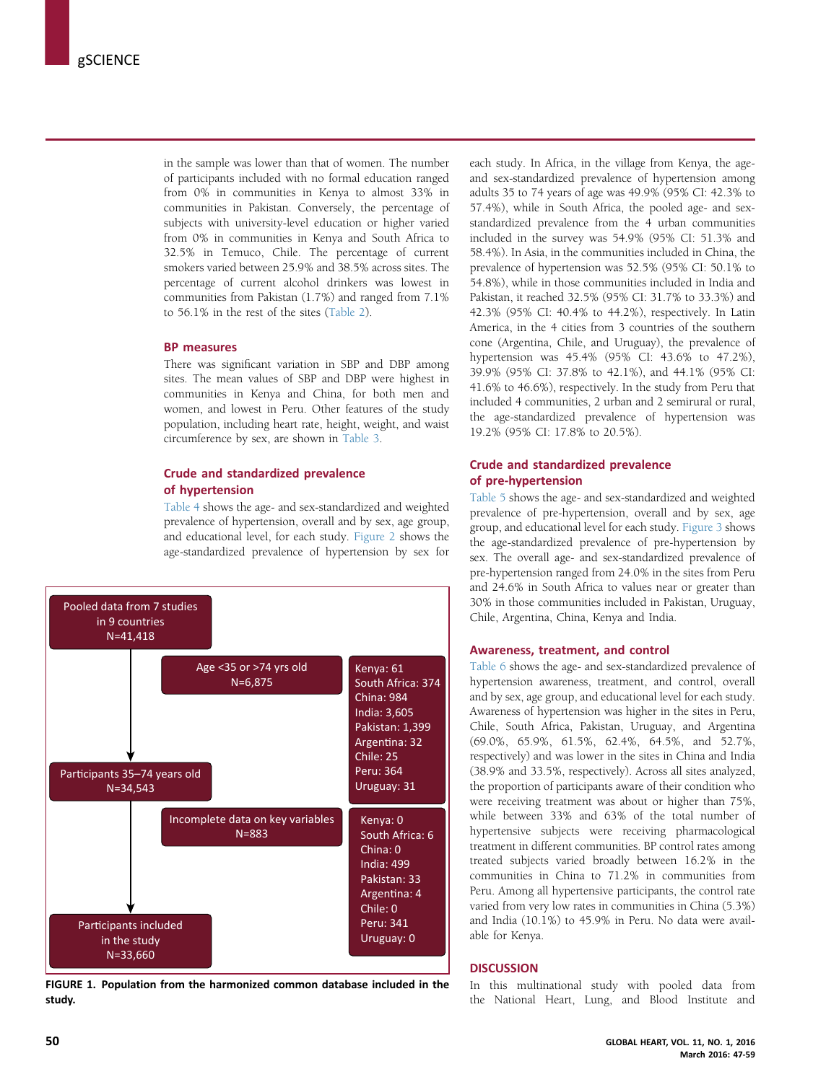<span id="page-3-0"></span>in the sample was lower than that of women. The number of participants included with no formal education ranged from 0% in communities in Kenya to almost 33% in communities in Pakistan. Conversely, the percentage of subjects with university-level education or higher varied from 0% in communities in Kenya and South Africa to 32.5% in Temuco, Chile. The percentage of current smokers varied between 25.9% and 38.5% across sites. The percentage of current alcohol drinkers was lowest in communities from Pakistan (1.7%) and ranged from 7.1% to 56.1% in the rest of the sites ([Table 2\)](#page-4-0).

# BP measures

There was significant variation in SBP and DBP among sites. The mean values of SBP and DBP were highest in communities in Kenya and China, for both men and women, and lowest in Peru. Other features of the study population, including heart rate, height, weight, and waist circumference by sex, are shown in [Table 3.](#page-5-0)

# Crude and standardized prevalence of hypertension

[Table 4](#page-6-0) shows the age- and sex-standardized and weighted prevalence of hypertension, overall and by sex, age group, and educational level, for each study. [Figure 2](#page-7-0) shows the age-standardized prevalence of hypertension by sex for



FIGURE 1. Population from the harmonized common database included in the study.

each study. In Africa, in the village from Kenya, the ageand sex-standardized prevalence of hypertension among adults 35 to 74 years of age was 49.9% (95% CI: 42.3% to 57.4%), while in South Africa, the pooled age- and sexstandardized prevalence from the 4 urban communities included in the survey was 54.9% (95% CI: 51.3% and 58.4%). In Asia, in the communities included in China, the prevalence of hypertension was 52.5% (95% CI: 50.1% to 54.8%), while in those communities included in India and Pakistan, it reached 32.5% (95% CI: 31.7% to 33.3%) and 42.3% (95% CI: 40.4% to 44.2%), respectively. In Latin America, in the 4 cities from 3 countries of the southern cone (Argentina, Chile, and Uruguay), the prevalence of hypertension was 45.4% (95% CI: 43.6% to 47.2%), 39.9% (95% CI: 37.8% to 42.1%), and 44.1% (95% CI: 41.6% to 46.6%), respectively. In the study from Peru that included 4 communities, 2 urban and 2 semirural or rural, the age-standardized prevalence of hypertension was 19.2% (95% CI: 17.8% to 20.5%).

# Crude and standardized prevalence of pre-hypertension

[Table 5](#page-8-0) shows the age- and sex-standardized and weighted prevalence of pre-hypertension, overall and by sex, age group, and educational level for each study. [Figure 3](#page-9-0) shows the age-standardized prevalence of pre-hypertension by sex. The overall age- and sex-standardized prevalence of pre-hypertension ranged from 24.0% in the sites from Peru and 24.6% in South Africa to values near or greater than 30% in those communities included in Pakistan, Uruguay, Chile, Argentina, China, Kenya and India.

# Awareness, treatment, and control

[Table 6](#page-10-0) shows the age- and sex-standardized prevalence of hypertension awareness, treatment, and control, overall and by sex, age group, and educational level for each study. Awareness of hypertension was higher in the sites in Peru, Chile, South Africa, Pakistan, Uruguay, and Argentina (69.0%, 65.9%, 61.5%, 62.4%, 64.5%, and 52.7%, respectively) and was lower in the sites in China and India (38.9% and 33.5%, respectively). Across all sites analyzed, the proportion of participants aware of their condition who were receiving treatment was about or higher than 75%, while between 33% and 63% of the total number of hypertensive subjects were receiving pharmacological treatment in different communities. BP control rates among treated subjects varied broadly between 16.2% in the communities in China to 71.2% in communities from Peru. Among all hypertensive participants, the control rate varied from very low rates in communities in China (5.3%) and India (10.1%) to 45.9% in Peru. No data were available for Kenya.

# **DISCUSSION**

In this multinational study with pooled data from the National Heart, Lung, and Blood Institute and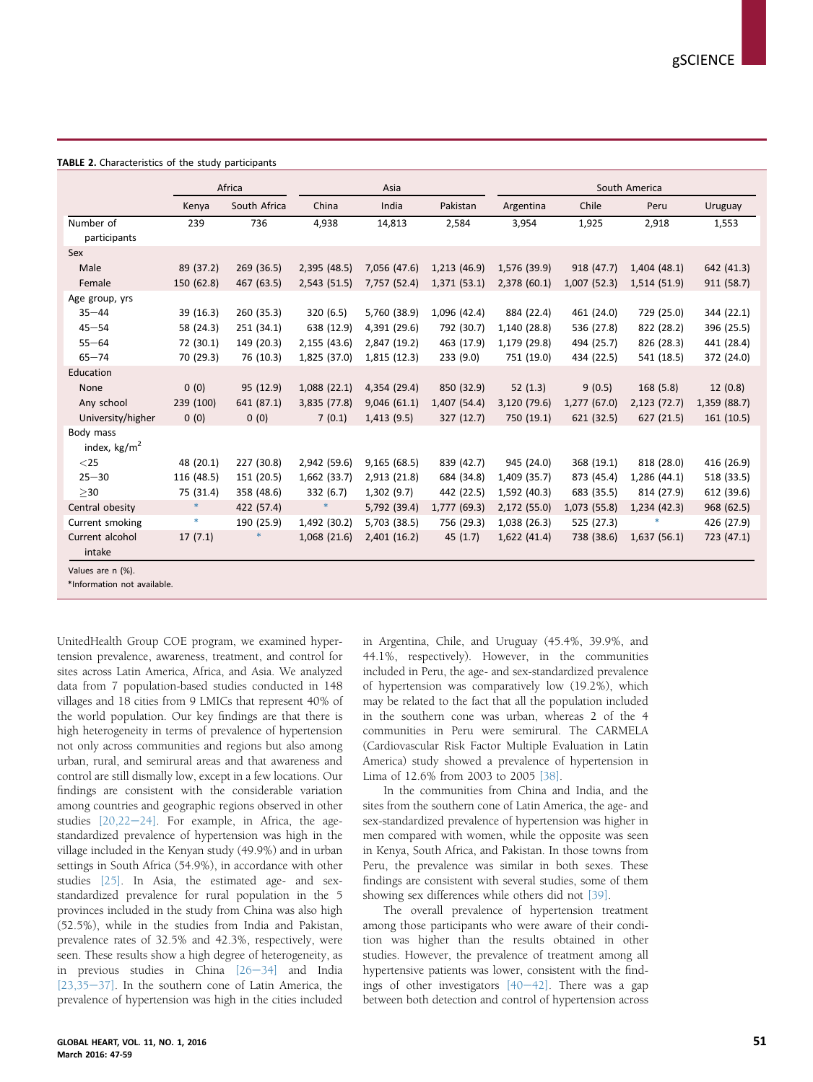<span id="page-4-0"></span>

|                                       | Africa     |              | Asia         |              |              | South America |              |              |              |
|---------------------------------------|------------|--------------|--------------|--------------|--------------|---------------|--------------|--------------|--------------|
|                                       | Kenya      | South Africa | China        | India        | Pakistan     | Argentina     | Chile        | Peru         | Uruguay      |
| Number of<br>participants             | 239        | 736          | 4,938        | 14,813       | 2,584        | 3,954         | 1,925        | 2,918        | 1,553        |
| Sex                                   |            |              |              |              |              |               |              |              |              |
| Male                                  | 89 (37.2)  | 269 (36.5)   | 2,395 (48.5) | 7,056 (47.6) | 1,213 (46.9) | 1,576 (39.9)  | 918 (47.7)   | 1,404(48.1)  | 642 (41.3)   |
| Female                                | 150 (62.8) | 467 (63.5)   | 2,543 (51.5) | 7,757 (52.4) | 1,371 (53.1) | 2,378 (60.1)  | 1,007 (52.3) | 1,514 (51.9) | 911 (58.7)   |
| Age group, yrs                        |            |              |              |              |              |               |              |              |              |
| $35 - 44$                             | 39 (16.3)  | 260 (35.3)   | 320(6.5)     | 5,760 (38.9) | 1,096 (42.4) | 884 (22.4)    | 461 (24.0)   | 729 (25.0)   | 344 (22.1)   |
| $45 - 54$                             | 58 (24.3)  | 251 (34.1)   | 638 (12.9)   | 4,391 (29.6) | 792 (30.7)   | 1,140 (28.8)  | 536 (27.8)   | 822 (28.2)   | 396 (25.5)   |
| $55 - 64$                             | 72 (30.1)  | 149 (20.3)   | 2,155 (43.6) | 2,847 (19.2) | 463 (17.9)   | 1,179 (29.8)  | 494 (25.7)   | 826 (28.3)   | 441 (28.4)   |
| $65 - 74$                             | 70 (29.3)  | 76 (10.3)    | 1,825 (37.0) | 1,815 (12.3) | 233(9.0)     | 751 (19.0)    | 434 (22.5)   | 541 (18.5)   | 372 (24.0)   |
| Education                             |            |              |              |              |              |               |              |              |              |
| None                                  | 0(0)       | 95 (12.9)    | 1,088(22.1)  | 4,354 (29.4) | 850 (32.9)   | 52(1.3)       | 9(0.5)       | 168(5.8)     | 12(0.8)      |
| Any school                            | 239 (100)  | 641 (87.1)   | 3,835 (77.8) | 9,046(61.1)  | 1,407 (54.4) | 3,120 (79.6)  | 1,277(67.0)  | 2,123 (72.7) | 1,359 (88.7) |
| University/higher                     | 0(0)       | 0(0)         | 7(0.1)       | 1,413(9.5)   | 327 (12.7)   | 750 (19.1)    | 621 (32.5)   | 627 (21.5)   | 161 (10.5)   |
| Body mass<br>index, kg/m <sup>2</sup> |            |              |              |              |              |               |              |              |              |
| $<$ 25                                | 48 (20.1)  | 227 (30.8)   | 2,942 (59.6) | 9,165(68.5)  | 839 (42.7)   | 945 (24.0)    | 368 (19.1)   | 818 (28.0)   | 416 (26.9)   |
| $25 - 30$                             | 116 (48.5) | 151 (20.5)   | 1,662 (33.7) | 2,913 (21.8) | 684 (34.8)   | 1,409 (35.7)  | 873 (45.4)   | 1,286 (44.1) | 518 (33.5)   |
| $>30$                                 | 75 (31.4)  | 358 (48.6)   | 332 (6.7)    | 1,302(9.7)   | 442 (22.5)   | 1,592 (40.3)  | 683 (35.5)   | 814 (27.9)   | 612 (39.6)   |
| Central obesity                       | $\ast$     | 422 (57.4)   | $\ast$       | 5,792 (39.4) | 1,777 (69.3) | 2,172 (55.0)  | 1,073 (55.8) | 1,234(42.3)  | 968 (62.5)   |
| Current smoking                       | $\ast$     | 190 (25.9)   | 1,492 (30.2) | 5,703 (38.5) | 756 (29.3)   | 1,038 (26.3)  | 525 (27.3)   |              | 426 (27.9)   |
| Current alcohol<br>intake             | 17(7.1)    |              | 1,068(21.6)  | 2,401(16.2)  | 45(1.7)      | 1,622(41.4)   | 738 (38.6)   | 1,637(56.1)  | 723 (47.1)   |

\*Information not available.

UnitedHealth Group COE program, we examined hypertension prevalence, awareness, treatment, and control for sites across Latin America, Africa, and Asia. We analyzed data from 7 population-based studies conducted in 148 villages and 18 cities from 9 LMICs that represent 40% of the world population. Our key findings are that there is high heterogeneity in terms of prevalence of hypertension not only across communities and regions but also among urban, rural, and semirural areas and that awareness and control are still dismally low, except in a few locations. Our findings are consistent with the considerable variation among countries and geographic regions observed in other studies  $[20,22-24]$  $[20,22-24]$  $[20,22-24]$ . For example, in Africa, the agestandardized prevalence of hypertension was high in the village included in the Kenyan study (49.9%) and in urban settings in South Africa (54.9%), in accordance with other studies [\[25\]](#page-12-0). In Asia, the estimated age- and sexstandardized prevalence for rural population in the 5 provinces included in the study from China was also high (52.5%), while in the studies from India and Pakistan, prevalence rates of 32.5% and 42.3%, respectively, were seen. These results show a high degree of heterogeneity, as in previous studies in China  $[26-34]$  $[26-34]$  $[26-34]$  and India  $[23.35-37]$  $[23.35-37]$ . In the southern cone of Latin America, the prevalence of hypertension was high in the cities included in Argentina, Chile, and Uruguay (45.4%, 39.9%, and 44.1%, respectively). However, in the communities included in Peru, the age- and sex-standardized prevalence of hypertension was comparatively low (19.2%), which may be related to the fact that all the population included in the southern cone was urban, whereas 2 of the 4 communities in Peru were semirural. The CARMELA (Cardiovascular Risk Factor Multiple Evaluation in Latin America) study showed a prevalence of hypertension in Lima of 12.6% from 2003 to 2005 [\[38\]](#page-12-0).

In the communities from China and India, and the sites from the southern cone of Latin America, the age- and sex-standardized prevalence of hypertension was higher in men compared with women, while the opposite was seen in Kenya, South Africa, and Pakistan. In those towns from Peru, the prevalence was similar in both sexes. These findings are consistent with several studies, some of them showing sex differences while others did not [\[39\].](#page-12-0)

The overall prevalence of hypertension treatment among those participants who were aware of their condition was higher than the results obtained in other studies. However, the prevalence of treatment among all hypertensive patients was lower, consistent with the findings of other investigators  $[40-42]$  $[40-42]$  $[40-42]$ . There was a gap between both detection and control of hypertension across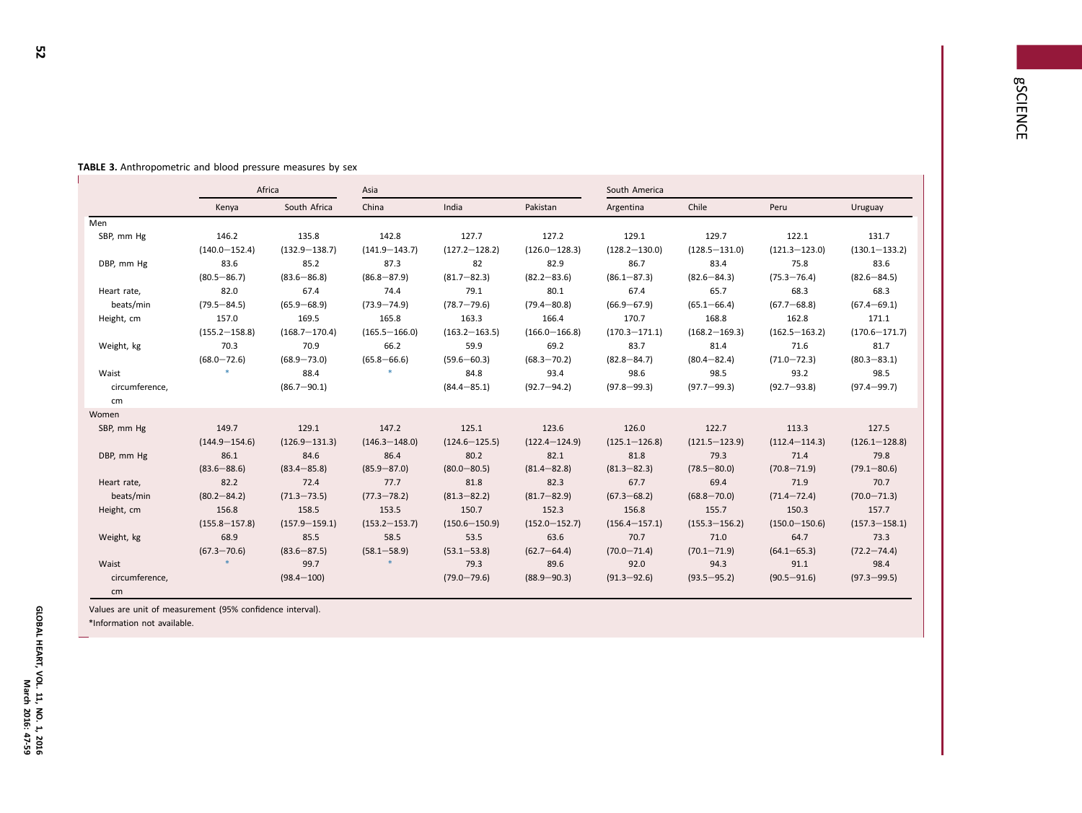j<br>Listo

|                |                   | Africa            | Asia              |                   |                   | South America     |                   |                   |                   |  |
|----------------|-------------------|-------------------|-------------------|-------------------|-------------------|-------------------|-------------------|-------------------|-------------------|--|
|                | Kenya             | South Africa      | China             | India             | Pakistan          | Argentina         | Chile             | Peru              | Uruguay           |  |
| Men            |                   |                   |                   |                   |                   |                   |                   |                   |                   |  |
| SBP, mm Hg     | 146.2             | 135.8             | 142.8             | 127.7             | 127.2             | 129.1             | 129.7             | 122.1             | 131.7             |  |
|                | $(140.0 - 152.4)$ | $(132.9 - 138.7)$ | $(141.9 - 143.7)$ | $(127.2 - 128.2)$ | $(126.0 - 128.3)$ | $(128.2 - 130.0)$ | $(128.5 - 131.0)$ | $(121.3 - 123.0)$ | $(130.1 - 133.2)$ |  |
| DBP, mm Hg     | 83.6              | 85.2              | 87.3              | 82                | 82.9              | 86.7              | 83.4              | 75.8              | 83.6              |  |
|                | $(80.5 - 86.7)$   | $(83.6 - 86.8)$   | $(86.8 - 87.9)$   | $(81.7 - 82.3)$   | $(82.2 - 83.6)$   | $(86.1 - 87.3)$   | $(82.6 - 84.3)$   | $(75.3 - 76.4)$   | $(82.6 - 84.5)$   |  |
| Heart rate,    | 82.0              | 67.4              | 74.4              | 79.1              | 80.1              | 67.4              | 65.7              | 68.3              | 68.3              |  |
| beats/min      | $(79.5 - 84.5)$   | $(65.9 - 68.9)$   | $(73.9 - 74.9)$   | $(78.7 - 79.6)$   | $(79.4 - 80.8)$   | $(66.9 - 67.9)$   | $(65.1 - 66.4)$   | $(67.7 - 68.8)$   | $(67.4 - 69.1)$   |  |
| Height, cm     | 157.0             | 169.5             | 165.8             | 163.3             | 166.4             | 170.7             | 168.8             | 162.8             | 171.1             |  |
|                | $(155.2 - 158.8)$ | $(168.7 - 170.4)$ | $(165.5 - 166.0)$ | $(163.2 - 163.5)$ | $(166.0 - 166.8)$ | $(170.3 - 171.1)$ | $(168.2 - 169.3)$ | $(162.5 - 163.2)$ | $(170.6 - 171.7)$ |  |
| Weight, kg     | 70.3              | 70.9              | 66.2              | 59.9              | 69.2              | 83.7              | 81.4              | 71.6              | 81.7              |  |
|                | $(68.0 - 72.6)$   | $(68.9 - 73.0)$   | $(65.8 - 66.6)$   | $(59.6 - 60.3)$   | $(68.3 - 70.2)$   | $(82.8 - 84.7)$   | $(80.4 - 82.4)$   | $(71.0 - 72.3)$   | $(80.3 - 83.1)$   |  |
| Waist          |                   | 88.4              |                   | 84.8              | 93.4              | 98.6              | 98.5              | 93.2              | 98.5              |  |
| circumference, |                   | $(86.7 - 90.1)$   |                   | $(84.4 - 85.1)$   | $(92.7 - 94.2)$   | $(97.8 - 99.3)$   | $(97.7 - 99.3)$   | $(92.7 - 93.8)$   | $(97.4 - 99.7)$   |  |
| cm             |                   |                   |                   |                   |                   |                   |                   |                   |                   |  |
| Women          |                   |                   |                   |                   |                   |                   |                   |                   |                   |  |
| SBP, mm Hg     | 149.7             | 129.1             | 147.2             | 125.1             | 123.6             | 126.0             | 122.7             | 113.3             | 127.5             |  |
|                | $(144.9 - 154.6)$ | $(126.9 - 131.3)$ | $(146.3 - 148.0)$ | $(124.6 - 125.5)$ | $(122.4 - 124.9)$ | $(125.1 - 126.8)$ | $(121.5 - 123.9)$ | $(112.4 - 114.3)$ | $(126.1 - 128.8)$ |  |
| DBP, mm Hg     | 86.1              | 84.6              | 86.4              | 80.2              | 82.1              | 81.8              | 79.3              | 71.4              | 79.8              |  |
|                | $(83.6 - 88.6)$   | $(83.4 - 85.8)$   | $(85.9 - 87.0)$   | $(80.0 - 80.5)$   | $(81.4 - 82.8)$   | $(81.3 - 82.3)$   | $(78.5 - 80.0)$   | $(70.8 - 71.9)$   | $(79.1 - 80.6)$   |  |
| Heart rate,    | 82.2              | 72.4              | 77.7              | 81.8              | 82.3              | 67.7              | 69.4              | 71.9              | 70.7              |  |
| beats/min      | $(80.2 - 84.2)$   | $(71.3 - 73.5)$   | $(77.3 - 78.2)$   | $(81.3 - 82.2)$   | $(81.7 - 82.9)$   | $(67.3 - 68.2)$   | $(68.8 - 70.0)$   | $(71.4 - 72.4)$   | $(70.0 - 71.3)$   |  |
| Height, cm     | 156.8             | 158.5             | 153.5             | 150.7             | 152.3             | 156.8             | 155.7             | 150.3             | 157.7             |  |
|                | $(155.8 - 157.8)$ | $(157.9 - 159.1)$ | $(153.2 - 153.7)$ | $(150.6 - 150.9)$ | $(152.0 - 152.7)$ | $(156.4 - 157.1)$ | $(155.3 - 156.2)$ | $(150.0 - 150.6)$ | $(157.3 - 158.1)$ |  |
| Weight, kg     | 68.9              | 85.5              | 58.5              | 53.5              | 63.6              | 70.7              | 71.0              | 64.7              | 73.3              |  |
|                | $(67.3 - 70.6)$   | $(83.6 - 87.5)$   | $(58.1 - 58.9)$   | $(53.1 - 53.8)$   | $(62.7 - 64.4)$   | $(70.0 - 71.4)$   | $(70.1 - 71.9)$   | $(64.1 - 65.3)$   | $(72.2 - 74.4)$   |  |
| Waist          |                   | 99.7              |                   | 79.3              | 89.6              | 92.0              | 94.3              | 91.1              | 98.4              |  |
| circumference, |                   | $(98.4 - 100)$    |                   | $(79.0 - 79.6)$   | $(88.9 - 90.3)$   | $(91.3 - 92.6)$   | $(93.5 - 95.2)$   | $(90.5 - 91.6)$   | $(97.3 - 99.5)$   |  |
| cm             |                   |                   |                   |                   |                   |                   |                   |                   |                   |  |

#### <span id="page-5-0"></span>TABLE 3. Anthropometric and blood pressure measures by sex

Values are unit of measurement (95% confidence interval). \*Information not available.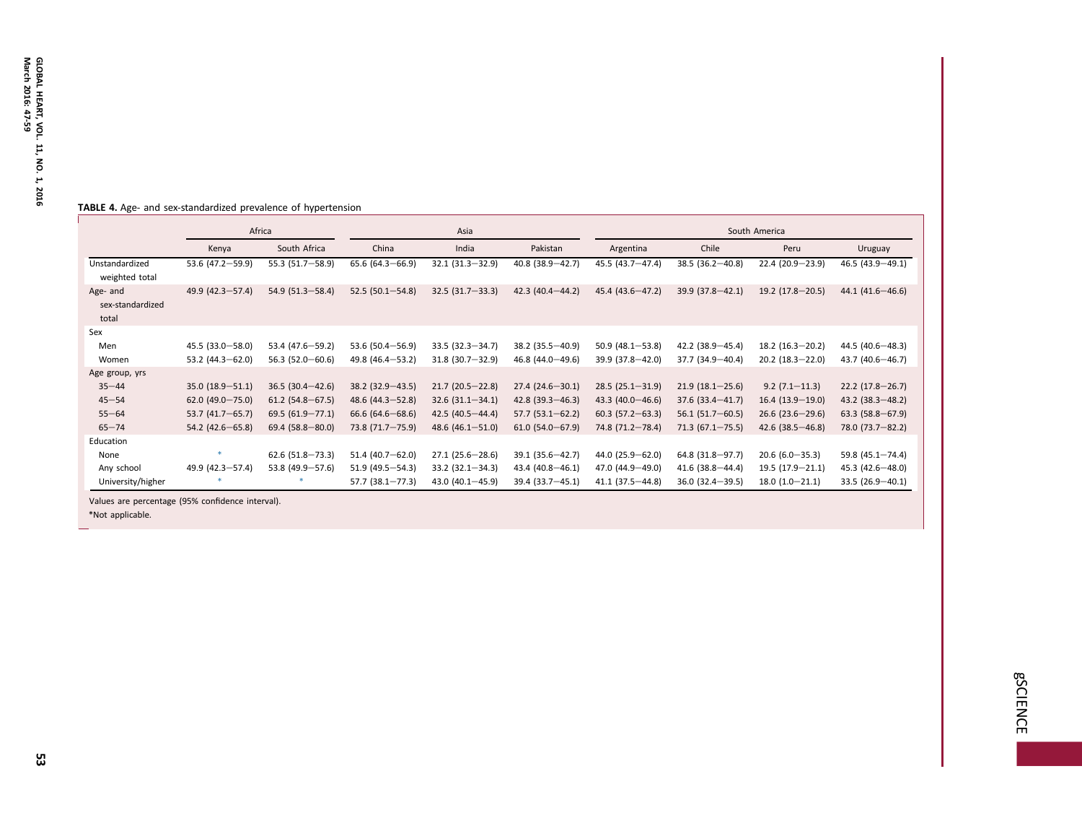### <span id="page-6-0"></span>TABLE 4. Age- and sex-standardized prevalence of hypertension

|                                       | Africa               |                     |                        | Asia                   |                     | South America        |                     |                      |                      |
|---------------------------------------|----------------------|---------------------|------------------------|------------------------|---------------------|----------------------|---------------------|----------------------|----------------------|
|                                       | Kenya                | South Africa        | China                  | India                  | Pakistan            | Argentina            | Chile               | Peru                 | Uruguay              |
| Unstandardized<br>weighted total      | 53.6 $(47.2 - 59.9)$ | 55.3 (51.7-58.9)    | $65.6(64.3 - 66.9)$    | $32.1(31.3 - 32.9)$    | 40.8 (38.9-42.7)    | 45.5 (43.7-47.4)     | $38.5(36.2 - 40.8)$ | 22.4 (20.9-23.9)     | $46.5(43.9 - 49.1)$  |
| Age- and<br>sex-standardized<br>total | 49.9 (42.3-57.4)     | $54.9(51.3 - 58.4)$ | $52.5(50.1 - 54.8)$    | $32.5(31.7 - 33.3)$    | $42.3(40.4 - 44.2)$ | 45.4 (43.6-47.2)     | $39.9(37.8 - 42.1)$ | $19.2(17.8 - 20.5)$  | $44.1(41.6 - 46.6)$  |
| Sex                                   |                      |                     |                        |                        |                     |                      |                     |                      |                      |
| Men                                   | $45.5(33.0 - 58.0)$  | 53.4 (47.6 - 59.2)  | 53.6 $(50.4 - 56.9)$   | $33.5(32.3 - 34.7)$    | $38.2(35.5 - 40.9)$ | $50.9(48.1 - 53.8)$  | $42.2(38.9 - 45.4)$ | $18.2(16.3 - 20.2)$  | $44.5(40.6 - 48.3)$  |
| Women                                 | 53.2 $(44.3 - 62.0)$ | $56.3(52.0 - 60.6)$ | $49.8(46.4 - 53.2)$    | $31.8(30.7 - 32.9)$    | $46.8(44.0 - 49.6)$ | 39.9 (37.8-42.0)     | $37.7(34.9 - 40.4)$ | $20.2(18.3 - 22.0)$  | $43.7(40.6 - 46.7)$  |
| Age group, yrs                        |                      |                     |                        |                        |                     |                      |                     |                      |                      |
| $35 - 44$                             | $35.0(18.9 - 51.1)$  | $36.5(30.4 - 42.6)$ | $38.2$ (32.9 – 43.5)   | $21.7(20.5-22.8)$      | $27.4(24.6 - 30.1)$ | $28.5(25.1 - 31.9)$  | $21.9(18.1 - 25.6)$ | $9.2(7.1 - 11.3)$    | $22.2(17.8-26.7)$    |
| $45 - 54$                             | $62.0$ (49.0-75.0)   | $61.2$ (54.8-67.5)  | $48.6$ (44.3-52.8)     | $32.6(31.1 - 34.1)$    | $42.8(39.3 - 46.3)$ | $43.3(40.0 - 46.6)$  | $37.6(33.4 - 41.7)$ | $16.4(13.9-19.0)$    | $43.2$ (38.3-48.2)   |
| $55 - 64$                             | $53.7(41.7 - 65.7)$  | $69.5(61.9 - 77.1)$ | $66.6$ $(64.6 - 68.6)$ | $42.5(40.5 - 44.4)$    | $57.7(53.1 - 62.2)$ | $60.3(57.2 - 63.3)$  | $56.1(51.7-60.5)$   | $26.6$ (23.6-29.6)   | $63.3(58.8 - 67.9)$  |
| $65 - 74$                             | $54.2$ (42.6 - 65.8) | $69.4(58.8 - 80.0)$ | 73.8 (71.7-75.9)       | 48.6 $(46.1 - 51.0)$   | $61.0(54.0 - 67.9)$ | 74.8 (71.2-78.4)     | $71.3(67.1 - 75.5)$ | $42.6$ (38.5 - 46.8) | 78.0 (73.7-82.2)     |
| Education                             |                      |                     |                        |                        |                     |                      |                     |                      |                      |
| None                                  |                      | $62.6$ (51.8-73.3)  | $51.4(40.7 - 62.0)$    | $27.1(25.6 - 28.6)$    | 39.1 (35.6-42.7)    | 44.0 (25.9-62.0)     | $64.8$ (31.8-97.7)  | $20.6(6.0 - 35.3)$   | 59.8 $(45.1 - 74.4)$ |
| Any school                            | $49.9(42.3 - 57.4)$  | 53.8 (49.9-57.6)    | $51.9(49.5 - 54.3)$    | $33.2$ $(32.1 - 34.3)$ | $43.4(40.8 - 46.1)$ | 47.0 $(44.9 - 49.0)$ | $41.6$ (38.8-44.4)  | $19.5(17.9 - 21.1)$  | $45.3(42.6 - 48.0)$  |
| University/higher                     |                      |                     | $57.7(38.1 - 77.3)$    | 43.0 $(40.1 - 45.9)$   | $39.4(33.7 - 45.1)$ | $41.1(37.5 - 44.8)$  | $36.0(32.4 - 39.5)$ | $18.0(1.0-21.1)$     | $33.5(26.9 - 40.1)$  |

Values are percentage (95% confidence interval).

\*Not applicable.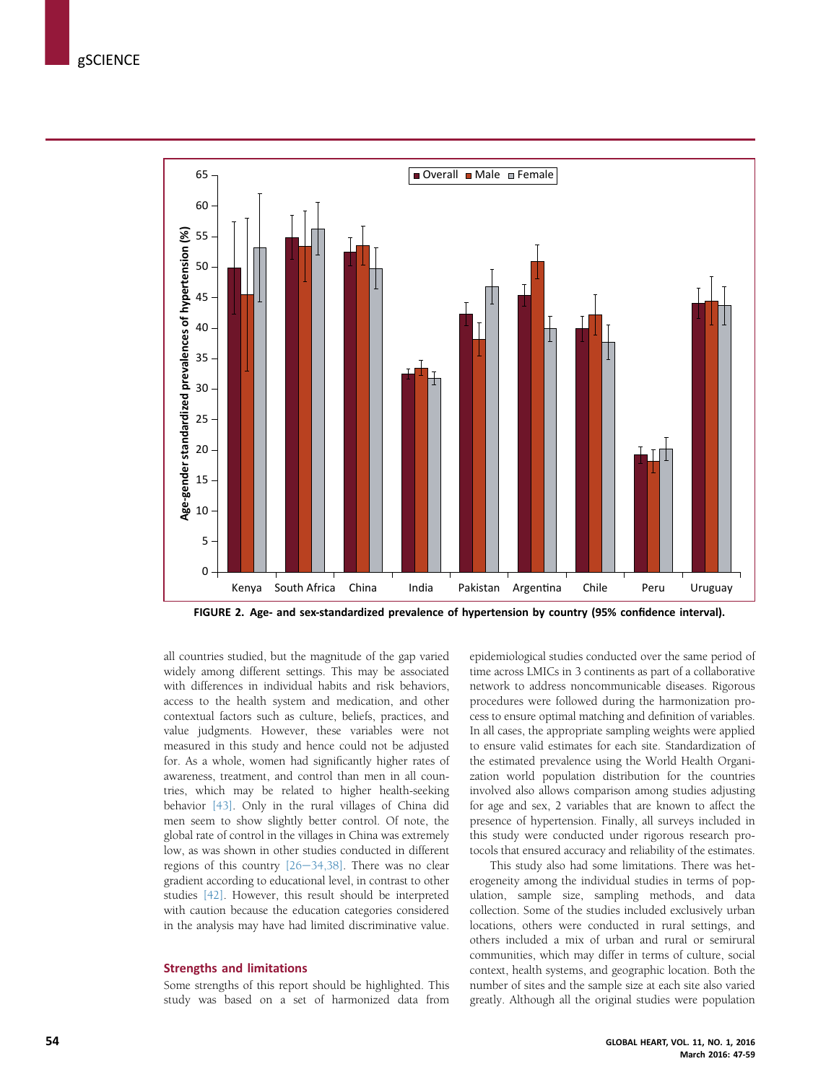<span id="page-7-0"></span>

FIGURE 2. Age- and sex-standardized prevalence of hypertension by country (95% confidence interval).

all countries studied, but the magnitude of the gap varied widely among different settings. This may be associated with differences in individual habits and risk behaviors, access to the health system and medication, and other contextual factors such as culture, beliefs, practices, and value judgments. However, these variables were not measured in this study and hence could not be adjusted for. As a whole, women had significantly higher rates of awareness, treatment, and control than men in all countries, which may be related to higher health-seeking behavior [\[43\]](#page-12-0). Only in the rural villages of China did men seem to show slightly better control. Of note, the global rate of control in the villages in China was extremely low, as was shown in other studies conducted in different regions of this country  $[26-34,38]$  $[26-34,38]$  $[26-34,38]$ . There was no clear gradient according to educational level, in contrast to other studies [\[42\].](#page-12-0) However, this result should be interpreted with caution because the education categories considered in the analysis may have had limited discriminative value.

## Strengths and limitations

Some strengths of this report should be highlighted. This study was based on a set of harmonized data from epidemiological studies conducted over the same period of time across LMICs in 3 continents as part of a collaborative network to address noncommunicable diseases. Rigorous procedures were followed during the harmonization process to ensure optimal matching and definition of variables. In all cases, the appropriate sampling weights were applied to ensure valid estimates for each site. Standardization of the estimated prevalence using the World Health Organization world population distribution for the countries involved also allows comparison among studies adjusting for age and sex, 2 variables that are known to affect the presence of hypertension. Finally, all surveys included in this study were conducted under rigorous research protocols that ensured accuracy and reliability of the estimates.

This study also had some limitations. There was heterogeneity among the individual studies in terms of population, sample size, sampling methods, and data collection. Some of the studies included exclusively urban locations, others were conducted in rural settings, and others included a mix of urban and rural or semirural communities, which may differ in terms of culture, social context, health systems, and geographic location. Both the number of sites and the sample size at each site also varied greatly. Although all the original studies were population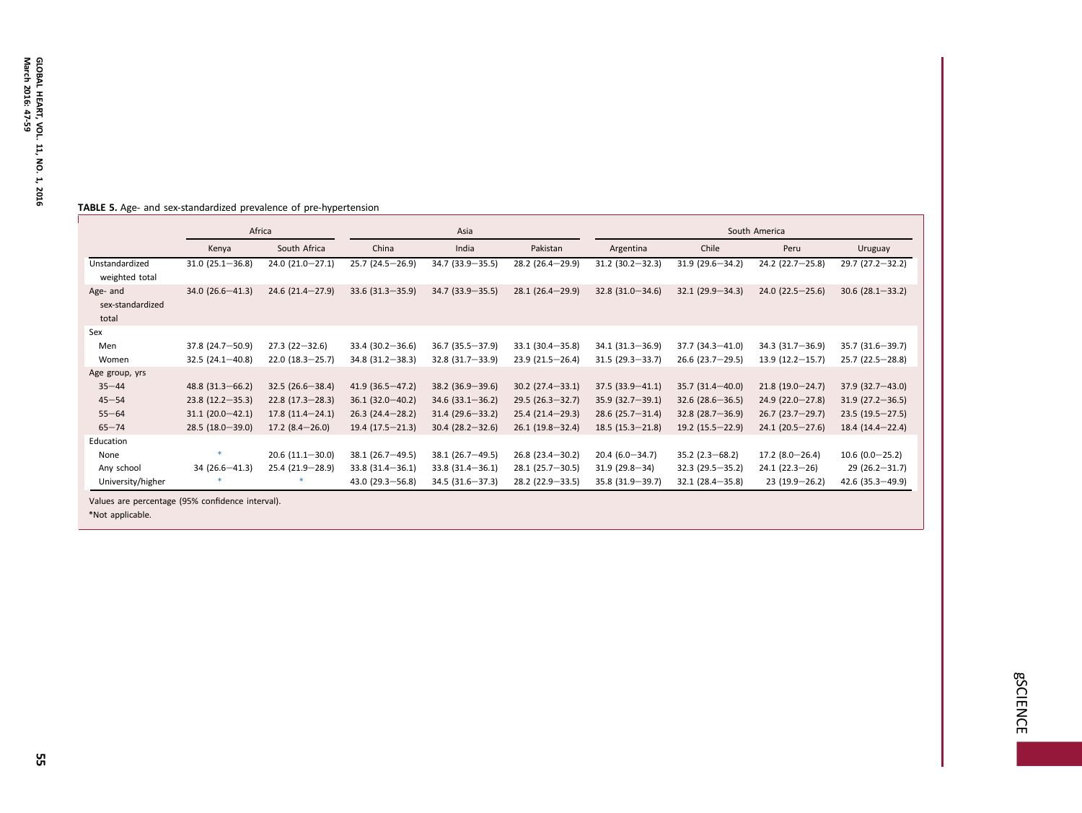### <span id="page-8-0"></span>TABLE 5. Age- and sex-standardized prevalence of pre-hypertension

|                                       | Africa              |                     |                        | Asia                |                     | South America       |                      |                     |                     |
|---------------------------------------|---------------------|---------------------|------------------------|---------------------|---------------------|---------------------|----------------------|---------------------|---------------------|
|                                       | Kenya               | South Africa        | China                  | India               | Pakistan            | Argentina           | Chile                | Peru                | Uruguay             |
| Unstandardized<br>weighted total      | $31.0(25.1 - 36.8)$ | $24.0(21.0-27.1)$   | $25.7(24.5-26.9)$      | 34.7 (33.9 - 35.5)  | $28.2(26.4-29.9)$   | $31.2(30.2 - 32.3)$ | $31.9(29.6 - 34.2)$  | $24.2$ (22.7-25.8)  | $29.7(27.2 - 32.2)$ |
| Age- and<br>sex-standardized<br>total | $34.0(26.6 - 41.3)$ | $24.6(21.4 - 27.9)$ | $33.6$ $(31.3 - 35.9)$ | $34.7(33.9 - 35.5)$ | $28.1(26.4-29.9)$   | $32.8(31.0 - 34.6)$ | $32.1(29.9 - 34.3)$  | $24.0(22.5 - 25.6)$ | $30.6(28.1 - 33.2)$ |
| Sex                                   |                     |                     |                        |                     |                     |                     |                      |                     |                     |
| Men                                   | 37.8 (24.7-50.9)    | $27.3(22 - 32.6)$   | $33.4(30.2 - 36.6)$    | $36.7(35.5 - 37.9)$ | $33.1(30.4 - 35.8)$ | $34.1(31.3 - 36.9)$ | $37.7(34.3 - 41.0)$  | $34.3(31.7 - 36.9)$ | 35.7 (31.6 - 39.7)  |
| Women                                 | $32.5(24.1 - 40.8)$ | $22.0(18.3 - 25.7)$ | $34.8(31.2 - 38.3)$    | $32.8(31.7 - 33.9)$ | $23.9(21.5-26.4)$   | $31.5(29.3 - 33.7)$ | $26.6$ (23.7-29.5)   | $13.9(12.2 - 15.7)$ | $25.7(22.5-28.8)$   |
| Age group, yrs                        |                     |                     |                        |                     |                     |                     |                      |                     |                     |
| $35 - 44$                             | $48.8(31.3 - 66.2)$ | $32.5(26.6 - 38.4)$ | $41.9(36.5 - 47.2)$    | $38.2(36.9 - 39.6)$ | $30.2$ (27.4-33.1)  | $37.5(33.9 - 41.1)$ | $35.7(31.4 - 40.0)$  | $21.8(19.0 - 24.7)$ | $37.9(32.7 - 43.0)$ |
| $45 - 54$                             | $23.8(12.2 - 35.3)$ | $22.8(17.3 - 28.3)$ | $36.1(32.0-40.2)$      | $34.6$ (33.1-36.2)  | $29.5(26.3 - 32.7)$ | $35.9(32.7 - 39.1)$ | $32.6$ (28.6 – 36.5) | $24.9(22.0 - 27.8)$ | $31.9(27.2 - 36.5)$ |
| $55 - 64$                             | $31.1(20.0-42.1)$   | $17.8(11.4 - 24.1)$ | $26.3(24.4-28.2)$      | $31.4(29.6 - 33.2)$ | $25.4(21.4-29.3)$   | $28.6(25.7 - 31.4)$ | $32.8$ (28.7-36.9)   | $26.7(23.7-29.7)$   | $23.5(19.5-27.5)$   |
| $65 - 74$                             | $28.5(18.0 - 39.0)$ | $17.2$ (8.4 - 26.0) | $19.4(17.5-21.3)$      | $30.4(28.2 - 32.6)$ | $26.1(19.8-32.4)$   | $18.5(15.3 - 21.8)$ | $19.2(15.5 - 22.9)$  | $24.1(20.5 - 27.6)$ | $18.4(14.4-22.4)$   |
| Education                             |                     |                     |                        |                     |                     |                     |                      |                     |                     |
| None                                  |                     | $20.6(11.1-30.0)$   | $38.1(26.7 - 49.5)$    | $38.1(26.7 - 49.5)$ | $26.8(23.4 - 30.2)$ | $20.4(6.0 - 34.7)$  | $35.2(2.3 - 68.2)$   | $17.2(8.0-26.4)$    | $10.6(0.0-25.2)$    |
| Any school                            | $34(26.6 - 41.3)$   | $25.4(21.9-28.9)$   | $33.8(31.4 - 36.1)$    | $33.8(31.4 - 36.1)$ | $28.1(25.7 - 30.5)$ | $31.9(29.8 - 34)$   | $32.3(29.5 - 35.2)$  | $24.1(22.3-26)$     | $29(26.2 - 31.7)$   |
| University/higher                     |                     |                     | $43.0(29.3 - 56.8)$    | $34.5(31.6 - 37.3)$ | 28.2 (22.9 - 33.5)  | 35.8 (31.9 - 39.7)  | $32.1(28.4 - 35.8)$  | $23(19.9-26.2)$     | $42.6(35.3 - 49.9)$ |

Values are percentage (95% confidence interval).

\*Not applicable.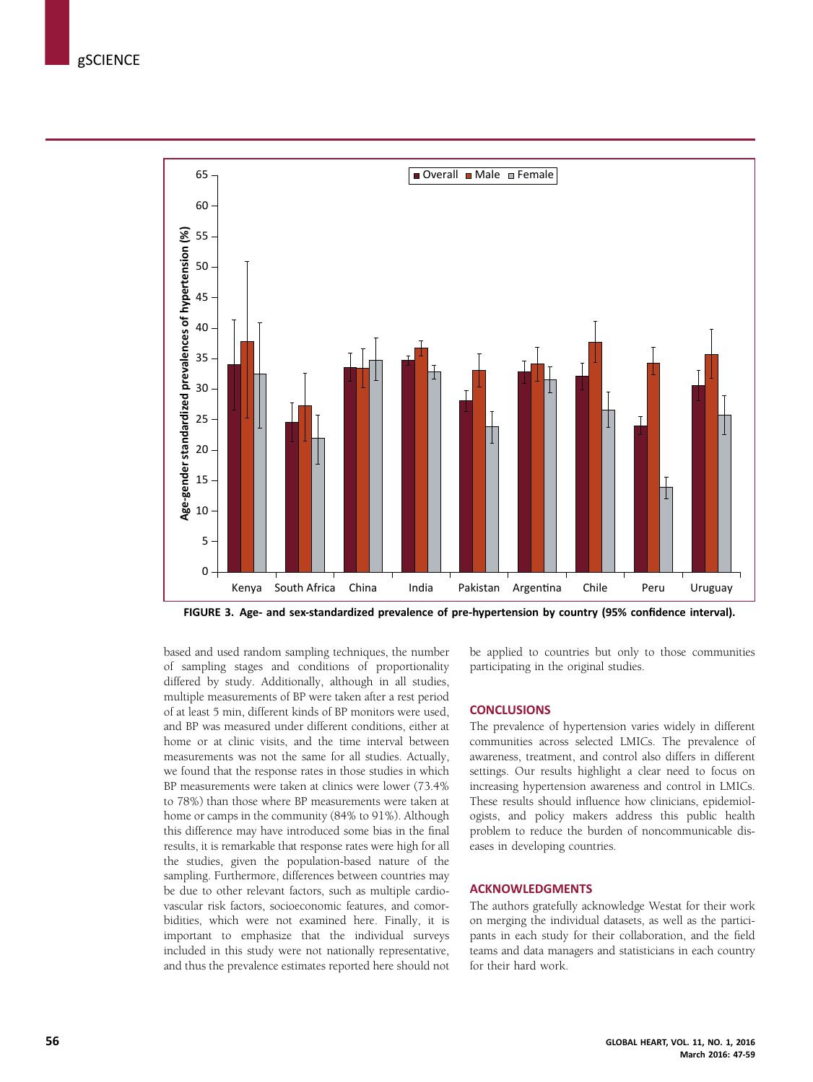<span id="page-9-0"></span>

FIGURE 3. Age- and sex-standardized prevalence of pre-hypertension by country (95% confidence interval).

based and used random sampling techniques, the number of sampling stages and conditions of proportionality differed by study. Additionally, although in all studies, multiple measurements of BP were taken after a rest period of at least 5 min, different kinds of BP monitors were used, and BP was measured under different conditions, either at home or at clinic visits, and the time interval between measurements was not the same for all studies. Actually, we found that the response rates in those studies in which BP measurements were taken at clinics were lower (73.4% to 78%) than those where BP measurements were taken at home or camps in the community (84% to 91%). Although this difference may have introduced some bias in the final results, it is remarkable that response rates were high for all the studies, given the population-based nature of the sampling. Furthermore, differences between countries may be due to other relevant factors, such as multiple cardiovascular risk factors, socioeconomic features, and comorbidities, which were not examined here. Finally, it is important to emphasize that the individual surveys included in this study were not nationally representative, and thus the prevalence estimates reported here should not

be applied to countries but only to those communities participating in the original studies.

## **CONCLUSIONS**

The prevalence of hypertension varies widely in different communities across selected LMICs. The prevalence of awareness, treatment, and control also differs in different settings. Our results highlight a clear need to focus on increasing hypertension awareness and control in LMICs. These results should influence how clinicians, epidemiologists, and policy makers address this public health problem to reduce the burden of noncommunicable diseases in developing countries.

## ACKNOWLEDGMENTS

The authors gratefully acknowledge Westat for their work on merging the individual datasets, as well as the participants in each study for their collaboration, and the field teams and data managers and statisticians in each country for their hard work.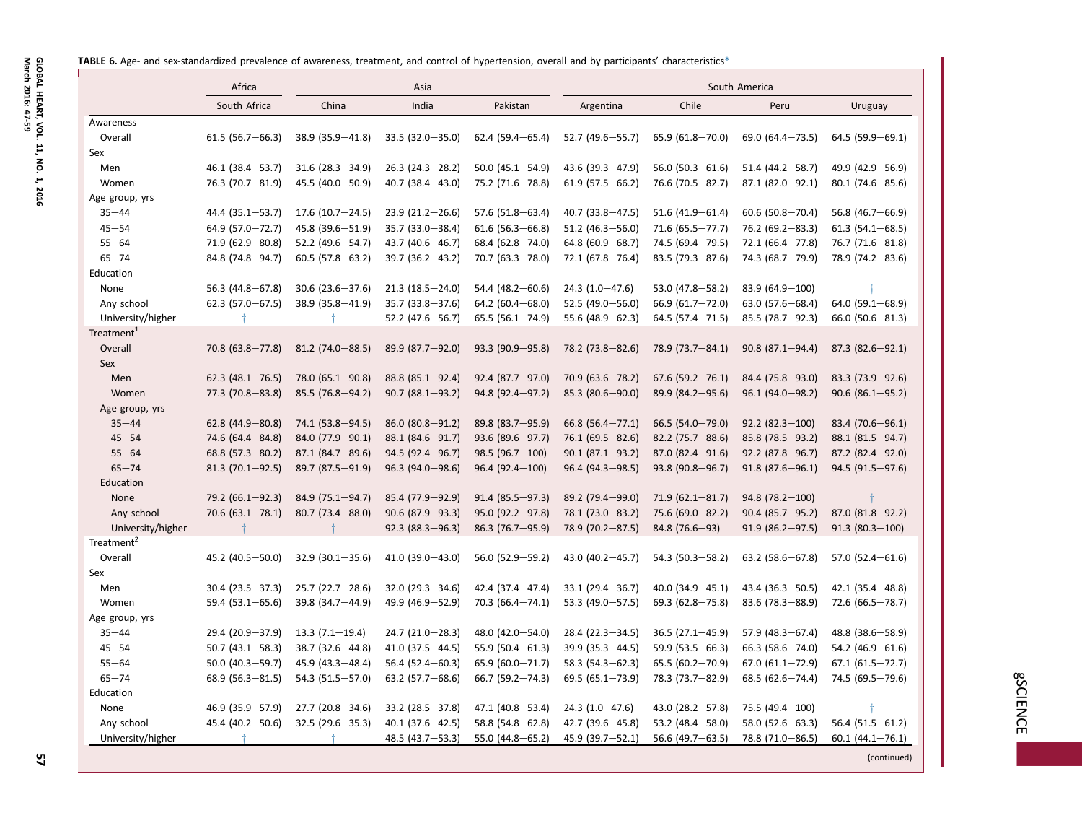<span id="page-10-0"></span>TABLE 6. Age- and sex-standardized prevalence of awareness, treatment, and control of hypertension, overall and by participants' characteristic[s\\*](#page-11-0)

|                        | Africa               | Asia                 |                      |                      |                      | South America          |                        |                        |  |  |  |
|------------------------|----------------------|----------------------|----------------------|----------------------|----------------------|------------------------|------------------------|------------------------|--|--|--|
|                        | South Africa         | China                | India                | Pakistan             | Argentina            | Chile                  | Peru                   | Uruguay                |  |  |  |
| Awareness              |                      |                      |                      |                      |                      |                        |                        |                        |  |  |  |
| Overall                | $61.5(56.7-66.3)$    | $38.9(35.9 - 41.8)$  | $33.5(32.0 - 35.0)$  | $62.4(59.4 - 65.4)$  | $52.7(49.6 - 55.7)$  | $65.9(61.8-70.0)$      | $69.0 (64.4 - 73.5)$   | 64.5 (59.9-69.1)       |  |  |  |
| Sex                    |                      |                      |                      |                      |                      |                        |                        |                        |  |  |  |
| Men                    | 46.1 (38.4-53.7)     | $31.6(28.3 - 34.9)$  | $26.3(24.3 - 28.2)$  | 50.0 $(45.1 - 54.9)$ | 43.6 (39.3-47.9)     | $56.0(50.3 - 61.6)$    | 51.4 (44.2-58.7)       | 49.9 (42.9-56.9)       |  |  |  |
| Women                  | 76.3 (70.7-81.9)     | 45.5 (40.0 - 50.9)   | $40.7$ (38.4 - 43.0) | 75.2 (71.6-78.8)     | $61.9(57.5 - 66.2)$  | 76.6 (70.5 - 82.7)     | 87.1 (82.0-92.1)       | $80.1(74.6 - 85.6)$    |  |  |  |
| Age group, yrs         |                      |                      |                      |                      |                      |                        |                        |                        |  |  |  |
| $35 - 44$              | 44.4 (35.1-53.7)     | $17.6(10.7-24.5)$    | $23.9(21.2 - 26.6)$  | 57.6 (51.8-63.4)     | 40.7 (33.8-47.5)     | $51.6$ (41.9-61.4)     | $60.6$ (50.8-70.4)     | 56.8 $(46.7 - 66.9)$   |  |  |  |
| $45 - 54$              | 64.9 (57.0-72.7)     | 45.8 (39.6 - 51.9)   | $35.7(33.0 - 38.4)$  | $61.6$ (56.3-66.8)   | 51.2 $(46.3 - 56.0)$ | $71.6(65.5 - 77.7)$    | $76.2 (69.2 - 83.3)$   | $61.3(54.1 - 68.5)$    |  |  |  |
| $55 - 64$              | 71.9 (62.9-80.8)     | 52.2 (49.6-54.7)     | 43.7 (40.6 - 46.7)   | 68.4 (62.8-74.0)     | $64.8(60.9 - 68.7)$  | 74.5 (69.4-79.5)       | $72.1(66.4 - 77.8)$    | 76.7 (71.6-81.8)       |  |  |  |
| $65 - 74$              | 84.8 (74.8-94.7)     | $60.5(57.8 - 63.2)$  | $39.7(36.2 - 43.2)$  | 70.7 (63.3-78.0)     | $72.1(67.8 - 76.4)$  | $83.5(79.3 - 87.6)$    | 74.3 (68.7-79.9)       | 78.9 (74.2-83.6)       |  |  |  |
| Education              |                      |                      |                      |                      |                      |                        |                        |                        |  |  |  |
| None                   | 56.3 (44.8-67.8)     | $30.6$ (23.6 - 37.6) | $21.3(18.5 - 24.0)$  | 54.4 (48.2-60.6)     | $24.3(1.0 - 47.6)$   | 53.0 (47.8-58.2)       | 83.9 (64.9-100)        |                        |  |  |  |
| Any school             | 62.3 $(57.0 - 67.5)$ | $38.9(35.8 - 41.9)$  | $35.7(33.8 - 37.6)$  | 64.2 $(60.4 - 68.0)$ | 52.5 (49.0 $-$ 56.0) | $66.9(61.7 - 72.0)$    | 63.0 $(57.6 - 68.4)$   | 64.0 $(59.1 - 68.9)$   |  |  |  |
| University/higher      |                      |                      | $52.2$ (47.6 - 56.7) | $65.5(56.1 - 74.9)$  | 55.6 $(48.9 - 62.3)$ | $64.5(57.4 - 71.5)$    | 85.5 (78.7-92.3)       | $66.0$ (50.6 $-81.3$ ) |  |  |  |
| Treatment <sup>1</sup> |                      |                      |                      |                      |                      |                        |                        |                        |  |  |  |
| Overall                | $70.8(63.8 - 77.8)$  | $81.2$ (74.0 - 88.5) | 89.9 (87.7-92.0)     | 93.3 (90.9-95.8)     | 78.2 (73.8-82.6)     | 78.9 (73.7-84.1)       | $90.8$ (87.1-94.4)     | $87.3 (82.6 - 92.1)$   |  |  |  |
| Sex                    |                      |                      |                      |                      |                      |                        |                        |                        |  |  |  |
| Men                    | $62.3$ (48.1-76.5)   | $78.0(65.1 - 90.8)$  | 88.8 (85.1-92.4)     | 92.4 (87.7-97.0)     | $70.9(63.6 - 78.2)$  | $67.6(59.2 - 76.1)$    | 84.4 (75.8-93.0)       | 83.3 (73.9-92.6)       |  |  |  |
| Women                  | 77.3 (70.8-83.8)     | 85.5 (76.8-94.2)     | $90.7 (88.1 - 93.2)$ | 94.8 (92.4-97.2)     | 85.3 (80.6 - 90.0)   | 89.9 (84.2-95.6)       | $96.1 (94.0 - 98.2)$   | $90.6$ (86.1-95.2)     |  |  |  |
| Age group, yrs         |                      |                      |                      |                      |                      |                        |                        |                        |  |  |  |
| $35 - 44$              | $62.8$ (44.9-80.8)   | 74.1 (53.8-94.5)     | $86.0 (80.8 - 91.2)$ | 89.8 (83.7-95.9)     | $66.8$ (56.4-77.1)   | $66.5(54.0 - 79.0)$    | $92.2$ (82.3 - 100)    | 83.4 (70.6 - 96.1)     |  |  |  |
| $45 - 54$              | 74.6 (64.4-84.8)     | 84.0 (77.9-90.1)     | 88.1 (84.6-91.7)     | 93.6 (89.6-97.7)     | 76.1 (69.5 - 82.6)   | $82.2$ (75.7-88.6)     | 85.8 (78.5 - 93.2)     | 88.1 (81.5-94.7)       |  |  |  |
| $55 - 64$              | $68.8(57.3 - 80.2)$  | $87.1 (84.7 - 89.6)$ | 94.5 (92.4-96.7)     | $98.5(96.7-100)$     | $90.1 (87.1 - 93.2)$ | $87.0$ $(82.4 - 91.6)$ | $92.2$ (87.8-96.7)     | $87.2$ $(82.4 - 92.0)$ |  |  |  |
| $65 - 74$              | $81.3(70.1 - 92.5)$  | 89.7 (87.5 - 91.9)   | $96.3 (94.0 - 98.6)$ | $96.4(92.4-100)$     | 96.4 (94.3 - 98.5)   | $93.8(90.8 - 96.7)$    | $91.8(87.6 - 96.1)$    | 94.5 (91.5 - 97.6)     |  |  |  |
| Education              |                      |                      |                      |                      |                      |                        |                        |                        |  |  |  |
| <b>None</b>            | 79.2 (66.1-92.3)     | 84.9 (75.1-94.7)     | 85.4 (77.9 - 92.9)   | $91.4 (85.5 - 97.3)$ | 89.2 (79.4-99.0)     | $71.9(62.1 - 81.7)$    | $94.8$ (78.2-100)      |                        |  |  |  |
| Any school             | $70.6(63.1 - 78.1)$  | $80.7(73.4 - 88.0)$  | $90.6$ (87.9 – 93.3) | $95.0 (92.2 - 97.8)$ | 78.1 (73.0 - 83.2)   | $75.6(69.0-82.2)$      | $90.4 (85.7 - 95.2)$   | 87.0 (81.8-92.2)       |  |  |  |
| University/higher      |                      |                      | $92.3 (88.3 - 96.3)$ | 86.3 (76.7-95.9)     | 78.9 (70.2-87.5)     | 84.8 (76.6-93)         | $91.9$ (86.2-97.5)     | $91.3(80.3-100)$       |  |  |  |
| Treatment <sup>2</sup> |                      |                      |                      |                      |                      |                        |                        |                        |  |  |  |
| Overall                | 45.2 (40.5 - 50.0)   | $32.9(30.1 - 35.6)$  | 41.0 (39.0-43.0)     | 56.0 (52.9-59.2)     | 43.0 (40.2-45.7)     | $54.3(50.3 - 58.2)$    | $63.2$ (58.6-67.8)     | 57.0 $(52.4 - 61.6)$   |  |  |  |
| Sex                    |                      |                      |                      |                      |                      |                        |                        |                        |  |  |  |
| Men                    | $30.4(23.5 - 37.3)$  | $25.7(22.7-28.6)$    | $32.0(29.3 - 34.6)$  | 42.4 (37.4-47.4)     | $33.1(29.4 - 36.7)$  | $40.0$ (34.9-45.1)     | 43.4 (36.3-50.5)       | $42.1(35.4 - 48.8)$    |  |  |  |
| Women                  | $59.4(53.1 - 65.6)$  | 39.8 (34.7-44.9)     | 49.9 (46.9-52.9)     | $70.3(66.4 - 74.1)$  | 53.3 (49.0 - 57.5)   | 69.3 $(62.8 - 75.8)$   | $83.6$ (78.3-88.9)     | 72.6 (66.5-78.7)       |  |  |  |
| Age group, yrs         |                      |                      |                      |                      |                      |                        |                        |                        |  |  |  |
| $35 - 44$              | 29.4 (20.9-37.9)     | $13.3(7.1-19.4)$     | $24.7(21.0-28.3)$    | 48.0 (42.0 - 54.0)   | $28.4(22.3 - 34.5)$  | $36.5(27.1 - 45.9)$    | $57.9$ (48.3-67.4)     | 48.8 (38.6 - 58.9)     |  |  |  |
| $45 - 54$              | $50.7(43.1 - 58.3)$  | $38.7(32.6 - 44.8)$  | $41.0(37.5 - 44.5)$  | 55.9 $(50.4 - 61.3)$ | $39.9(35.3 - 44.5)$  | $59.9(53.5 - 66.3)$    | $66.3(58.6 - 74.0)$    | 54.2 (46.9-61.6)       |  |  |  |
| $55 - 64$              | 50.0 $(40.3 - 59.7)$ | $45.9(43.3 - 48.4)$  | 56.4 $(52.4 - 60.3)$ | $65.9(60.0 - 71.7)$  | $58.3(54.3 - 62.3)$  | $65.5(60.2 - 70.9)$    | $67.0$ $(61.1 - 72.9)$ | $67.1(61.5 - 72.7)$    |  |  |  |
| $65 - 74$              | $68.9(56.3 - 81.5)$  | $54.3(51.5 - 57.0)$  | $63.2$ (57.7-68.6)   | 66.7 (59.2-74.3)     | 69.5 (65.1-73.9)     | 78.3 (73.7-82.9)       | 68.5 $(62.6 - 74.4)$   | 74.5 (69.5-79.6)       |  |  |  |
| Education              |                      |                      |                      |                      |                      |                        |                        |                        |  |  |  |
| None                   | 46.9 (35.9-57.9)     | 27.7 (20.8-34.6)     | $33.2$ (28.5-37.8)   | 47.1 (40.8-53.4)     | $24.3(1.0-47.6)$     | 43.0 $(28.2 - 57.8)$   | 75.5 (49.4 - 100)      |                        |  |  |  |
| Any school             | 45.4 (40.2-50.6)     | $32.5(29.6 - 35.3)$  | $40.1$ (37.6 - 42.5) | 58.8 $(54.8 - 62.8)$ | 42.7 (39.6-45.8)     | 53.2 $(48.4 - 58.0)$   | 58.0 $(52.6 - 63.3)$   | $56.4(51.5 - 61.2)$    |  |  |  |
| University/higher      |                      |                      | 48.5 (43.7-53.3)     | $55.0(44.8 - 65.2)$  | 45.9 (39.7-52.1)     | 56.6 $(49.7 - 63.5)$   | 78.8 (71.0 - 86.5)     | $60.1(44.1 - 76.1)$    |  |  |  |
|                        |                      |                      |                      |                      |                      |                        |                        | (continued)            |  |  |  |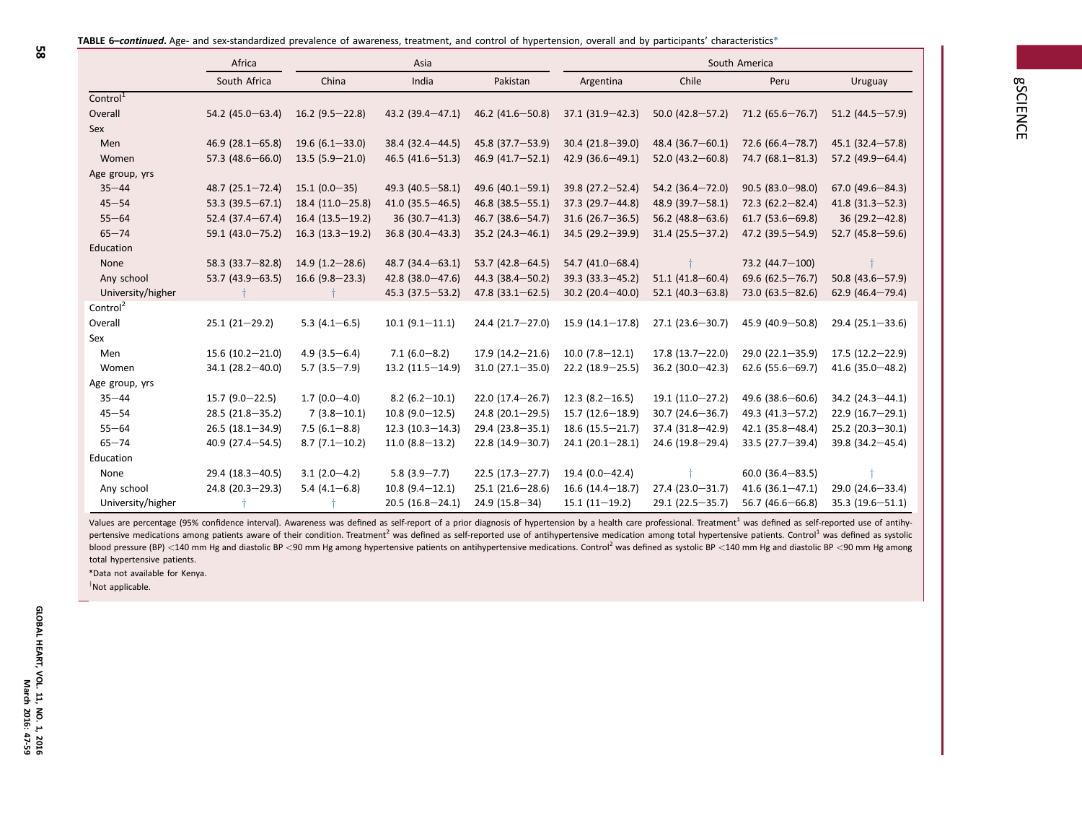<span id="page-11-0"></span>

| TABLE 6–continued. Age- and sex-standardized prevalence of awareness, treatment, and control of hypertension, overall and by participants' characteristics* |  |  |  |
|-------------------------------------------------------------------------------------------------------------------------------------------------------------|--|--|--|
|                                                                                                                                                             |  |  |  |

| u          | Uruguay             |  |
|------------|---------------------|--|
| $5 - 76.7$ | 51.2 (44.5—57.9)    |  |
| 1—78.7)    | $45.1(32.4 - 57.8)$ |  |

|                      | South Africa         | China               | India                 | Pakistan             | Argentina            | Chile                | Peru                 | Uruguay                |
|----------------------|----------------------|---------------------|-----------------------|----------------------|----------------------|----------------------|----------------------|------------------------|
| Control <sup>1</sup> |                      |                     |                       |                      |                      |                      |                      |                        |
| Overall              | 54.2 (45.0 - 63.4)   | $16.2$ (9.5 - 22.8) | $43.2(39.4 - 47.1)$   | 46.2 (41.6 - 50.8)   | $37.1(31.9 - 42.3)$  | $50.0 (42.8 - 57.2)$ | $71.2(65.6 - 76.7)$  | 51.2 $(44.5 - 57.9)$   |
| Sex                  |                      |                     |                       |                      |                      |                      |                      |                        |
| Men                  | $46.9(28.1 - 65.8)$  | $19.6(6.1 - 33.0)$  | $38.4(32.4 - 44.5)$   | 45.8 (37.7-53.9)     | $30.4(21.8 - 39.0)$  | 48.4 $(36.7 - 60.1)$ | 72.6 (66.4-78.7)     | $45.1(32.4 - 57.8)$    |
| Women                | 57.3 $(48.6 - 66.0)$ | $13.5(5.9 - 21.0)$  | 46.5 $(41.6 - 51.3)$  | 46.9 (41.7-52.1)     | 42.9 $(36.6 - 49.1)$ | 52.0 $(43.2 - 60.8)$ | $74.7(68.1 - 81.3)$  | 57.2 $(49.9 - 64.4)$   |
| Age group, yrs       |                      |                     |                       |                      |                      |                      |                      |                        |
| $35 - 44$            | $48.7(25.1 - 72.4)$  | $15.1(0.0-35)$      | 49.3 $(40.5 - 58.1)$  | 49.6 $(40.1 - 59.1)$ | $39.8(27.2 - 52.4)$  | 54.2 $(36.4 - 72.0)$ | $90.5(83.0 - 98.0)$  | $67.0$ (49.6 $-84.3$ ) |
| $45 - 54$            | 53.3 $(39.5 - 67.1)$ | $18.4(11.0-25.8)$   | 41.0 $(35.5 - 46.5)$  | $46.8$ (38.5 - 55.1) | $37.3(29.7 - 44.8)$  | 48.9 (39.7-58.1)     | $72.3(62.2 - 82.4)$  | $41.8$ (31.3-52.3)     |
| $55 - 64$            | $52.4(37.4 - 67.4)$  | $16.4(13.5-19.2)$   | $36(30.7 - 41.3)$     | 46.7 (38.6-54.7)     | $31.6(26.7 - 36.5)$  | 56.2 $(48.8 - 63.6)$ | $61.7(53.6 - 69.8)$  | $36(29.2 - 42.8)$      |
| $65 - 74$            | $59.1(43.0 - 75.2)$  | $16.3(13.3-19.2)$   | $36.8$ (30.4-43.3)    | $35.2$ (24.3-46.1)   | $34.5(29.2 - 39.9)$  | $31.4(25.5 - 37.2)$  | 47.2 (39.5 - 54.9)   | 52.7 $(45.8 - 59.6)$   |
| Education            |                      |                     |                       |                      |                      |                      |                      |                        |
| None                 | $58.3(33.7 - 82.8)$  | $14.9(1.2 - 28.6)$  | $48.7(34.4 - 63.1)$   | 53.7 $(42.8 - 64.5)$ | 54.7 (41.0 - 68.4)   |                      | 73.2 (44.7-100)      |                        |
| Any school           | 53.7 (43.9-63.5)     | $16.6$ (9.8-23.3)   | $42.8$ (38.0 - 47.6)  | 44.3 (38.4 - 50.2)   | $39.3(33.3 - 45.2)$  | $51.1(41.8 - 60.4)$  | 69.6 $(62.5 - 76.7)$ | 50.8 $(43.6 - 57.9)$   |
| University/higher    |                      |                     | 45.3 (37.5 - 53.2)    | $47.8$ (33.1-62.5)   | 30.2 $(20.4 - 40.0)$ | $52.1 (40.3 - 63.8)$ | 73.0 (63.5 - 82.6)   | 62.9 (46.4-79.4)       |
| Control <sup>2</sup> |                      |                     |                       |                      |                      |                      |                      |                        |
| Overall              | $25.1(21-29.2)$      | 5.3 $(4.1 - 6.5)$   | $10.1 (9.1 - 11.1)$   | $24.4(21.7-27.0)$    | $15.9(14.1 - 17.8)$  | $27.1(23.6 - 30.7)$  | 45.9 (40.9-50.8)     | $29.4(25.1 - 33.6)$    |
| Sex                  |                      |                     |                       |                      |                      |                      |                      |                        |
| Men                  | $15.6(10.2 - 21.0)$  | $4.9(3.5 - 6.4)$    | $7.1(6.0 - 8.2)$      | $17.9(14.2 - 21.6)$  | $10.0$ (7.8-12.1)    | $17.8(13.7 - 22.0)$  | $29.0(22.1 - 35.9)$  | $17.5(12.2 - 22.9)$    |
| Women                | 34.1 (28.2-40.0)     | $5.7(3.5 - 7.9)$    | $13.2(11.5 - 14.9)$   | $31.0(27.1 - 35.0)$  | $22.2(18.9 - 25.5)$  | $36.2$ (30.0-42.3)   | $62.6$ (55.6 - 69.7) | $41.6(35.0 - 48.2)$    |
| Age group, yrs       |                      |                     |                       |                      |                      |                      |                      |                        |
| $35 - 44$            | $15.7(9.0-22.5)$     | $1.7(0.0-4.0)$      | $8.2(6.2 - 10.1)$     | $22.0(17.4 - 26.7)$  | $12.3(8.2 - 16.5)$   | $19.1(11.0-27.2)$    | 49.6 (38.6-60.6)     | $34.2$ (24.3-44.1)     |
| $45 - 54$            | $28.5(21.8 - 35.2)$  | $7(3.8-10.1)$       | $10.8$ (9.0 $-12.5$ ) | $24.8$ (20.1-29.5)   | $15.7(12.6 - 18.9)$  | $30.7(24.6 - 36.7)$  | 49.3 (41.3-57.2)     | $22.9(16.7-29.1)$      |
| $55 - 64$            | $26.5(18.1 - 34.9)$  | $7.5(6.1 - 8.8)$    | $12.3(10.3 - 14.3)$   | 29.4 (23.8-35.1)     | $18.6(15.5 - 21.7)$  | 37.4 (31.8-42.9)     | $42.1(35.8 - 48.4)$  | $25.2$ (20.3-30.1)     |
| $65 - 74$            | 40.9 (27.4 - 54.5)   | $8.7(7.1 - 10.2)$   | $11.0 (8.8 - 13.2)$   | $22.8(14.9 - 30.7)$  | $24.1(20.1 - 28.1)$  | 24.6 (19.8-29.4)     | 33.5 (27.7-39.4)     | $39.8(34.2 - 45.4)$    |
| Education            |                      |                     |                       |                      |                      |                      |                      |                        |
| None                 | 29.4 (18.3-40.5)     | $3.1(2.0-4.2)$      | $5.8(3.9 - 7.7)$      | $22.5(17.3 - 27.7)$  | 19.4 $(0.0 - 42.4)$  |                      | $60.0$ (36.4-83.5)   |                        |
| Any school           | 24.8 (20.3-29.3)     | $5.4(4.1 - 6.8)$    | $10.8$ (9.4-12.1)     | $25.1(21.6 - 28.6)$  | $16.6(14.4-18.7)$    | $27.4(23.0 - 31.7)$  | $41.6(36.1 - 47.1)$  | 29.0 (24.6-33.4)       |
| University/higher    |                      |                     | $20.5(16.8-24.1)$     | $24.9(15.8 - 34)$    | $15.1(11-19.2)$      | $29.1(22.5 - 35.7)$  | 56.7 (46.6 $-66.8$ ) | $35.3(19.6 - 51.1)$    |
|                      |                      |                     |                       |                      |                      |                      |                      |                        |

Africa Asia South America

Values are percentage (95% confidence interval). Awareness was defined as self-report of a prior diagnosis of hypertension by a health care professional. Treatment<sup>1</sup> was defined as self-reported use of antihypertensive medications among patients aware of their condition. Treatment<sup>2</sup> was defined as self-reported use of antihypertensive medication among total hypertensive patients. Control<sup>1</sup> was defined as systolic blood pressure (BP) <140 mm Hg and diastolic BP <90 mm Hg among hypertensive patients on antihypertensive medications. Control<sup>2</sup> was defined as systolic BP <140 mm Hg and diastolic BP <90 mm Hg among total hypertensive patients.

\*Data not available for Kenya.

 $\dagger$ Not applicable.

j<br>Listo